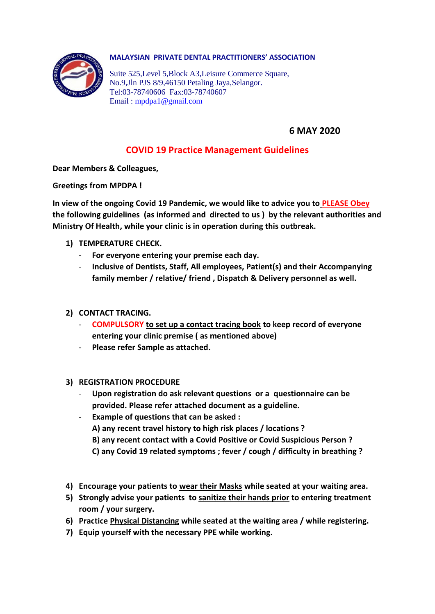

#### **MALAYSIAN PRIVATE DENTAL PRACTITIONERS' ASSOCIATION**

Suite 525,Level 5,Block A3,Leisure Commerce Square, No.9,Jln PJS 8/9,46150 Petaling Jaya,Selangor. Tel:03-78740606 Fax:03-78740607 Email : [mpdpa1@gmail.com](mailto:mpdpa1@gmail.com)

### **6 MAY 2020**

## **COVID 19 Practice Management Guidelines**

**Dear Members & Colleagues,**

**Greetings from MPDPA !**

**In view of the ongoing Covid 19 Pandemic, we would like to advice you to PLEASE Obey the following guidelines (as informed and directed to us ) by the relevant authorities and Ministry Of Health, while your clinic is in operation during this outbreak.** 

- **1) TEMPERATURE CHECK.** 
	- **For everyone entering your premise each day.**
	- **Inclusive of Dentists, Staff, All employees, Patient(s) and their Accompanying family member / relative/ friend , Dispatch & Delivery personnel as well.**

#### **2) CONTACT TRACING.**

- **COMPULSORY to set up a contact tracing book to keep record of everyone entering your clinic premise ( as mentioned above)**
- **Please refer Sample as attached.**
- **3) REGISTRATION PROCEDURE**
	- **Upon registration do ask relevant questions or a questionnaire can be provided. Please refer attached document as a guideline.**
	- **Example of questions that can be asked : A) any recent travel history to high risk places / locations ? B) any recent contact with a Covid Positive or Covid Suspicious Person ? C) any Covid 19 related symptoms ; fever / cough / difficulty in breathing ?**
- **4) Encourage your patients to wear their Masks while seated at your waiting area.**
- **5) Strongly advise your patients to sanitize their hands prior to entering treatment room / your surgery.**
- **6) Practice Physical Distancing while seated at the waiting area / while registering.**
- **7) Equip yourself with the necessary PPE while working.**